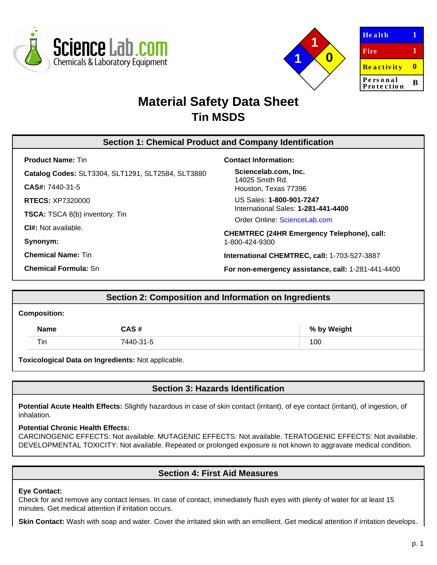



| <b>Health</b>          |   |
|------------------------|---|
| Fire                   | 1 |
| <b>Reactivity</b>      | n |
| Personal<br>Protection | R |

# **Material Safety Data Sheet Tin MSDS**

# **Section 1: Chemical Product and Company Identification**

**Product Name:** Tin

**Catalog Codes:** SLT3304, SLT1291, SLT2584, SLT3880

**CAS#:** 7440-31-5

**RTECS:** XP7320000

**TSCA:** TSCA 8(b) inventory: Tin

**CI#:** Not available.

**Synonym:**

**Chemical Name:** Tin

**Chemical Formula:** Sn

#### **Contact Information:**

**Sciencelab.com, Inc.** 14025 Smith Rd. Houston, Texas 77396

US Sales: **1-800-901-7247** International Sales: **1-281-441-4400**

Order Online: [ScienceLab.com](http://www.sciencelab.com/)

**CHEMTREC (24HR Emergency Telephone), call:** 1-800-424-9300

**International CHEMTREC, call:** 1-703-527-3887

**For non-emergency assistance, call:** 1-281-441-4400

# **Section 2: Composition and Information on Ingredients**

#### **Composition:**

| <b>Name</b> | CAS#      | % by Weight |
|-------------|-----------|-------------|
| Tin         | 7440-31-5 | 100         |

**Toxicological Data on Ingredients:** Not applicable.

# **Section 3: Hazards Identification**

Potential Acute Health Effects: Slightly hazardous in case of skin contact (irritant), of eye contact (irritant), of ingestion, of inhalation.

### **Potential Chronic Health Effects:**

CARCINOGENIC EFFECTS: Not available. MUTAGENIC EFFECTS: Not available. TERATOGENIC EFFECTS: Not available. DEVELOPMENTAL TOXICITY: Not available. Repeated or prolonged exposure is not known to aggravate medical condition.

# **Section 4: First Aid Measures**

#### **Eye Contact:**

Check for and remove any contact lenses. In case of contact, immediately flush eyes with plenty of water for at least 15 minutes. Get medical attention if irritation occurs.

Skin Contact: Wash with soap and water. Cover the irritated skin with an emollient. Get medical attention if irritation develops.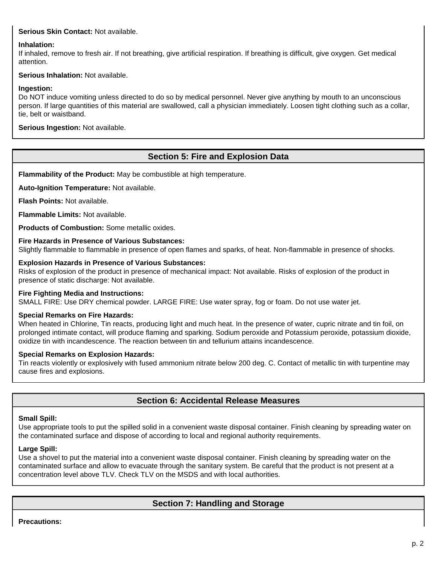### **Serious Skin Contact:** Not available.

### **Inhalation:**

If inhaled, remove to fresh air. If not breathing, give artificial respiration. If breathing is difficult, give oxygen. Get medical attention.

### **Serious Inhalation:** Not available.

### **Ingestion:**

Do NOT induce vomiting unless directed to do so by medical personnel. Never give anything by mouth to an unconscious person. If large quantities of this material are swallowed, call a physician immediately. Loosen tight clothing such as a collar, tie, belt or waistband.

**Serious Ingestion:** Not available.

# **Section 5: Fire and Explosion Data**

**Flammability of the Product:** May be combustible at high temperature.

**Auto-Ignition Temperature:** Not available.

**Flash Points:** Not available.

**Flammable Limits:** Not available.

**Products of Combustion:** Some metallic oxides.

#### **Fire Hazards in Presence of Various Substances:**

Slightly flammable to flammable in presence of open flames and sparks, of heat. Non-flammable in presence of shocks.

#### **Explosion Hazards in Presence of Various Substances:**

Risks of explosion of the product in presence of mechanical impact: Not available. Risks of explosion of the product in presence of static discharge: Not available.

#### **Fire Fighting Media and Instructions:**

SMALL FIRE: Use DRY chemical powder. LARGE FIRE: Use water spray, fog or foam. Do not use water jet.

### **Special Remarks on Fire Hazards:**

When heated in Chlorine, Tin reacts, producing light and much heat. In the presence of water, cupric nitrate and tin foil, on prolonged intimate contact, will produce flaming and sparking. Sodium peroxide and Potassium peroxide, potassium dioxide, oxidize tin with incandescence. The reaction between tin and tellurium attains incandescence.

#### **Special Remarks on Explosion Hazards:**

Tin reacts violently or explosively with fused ammonium nitrate below 200 deg. C. Contact of metallic tin with turpentine may cause fires and explosions.

# **Section 6: Accidental Release Measures**

### **Small Spill:**

Use appropriate tools to put the spilled solid in a convenient waste disposal container. Finish cleaning by spreading water on the contaminated surface and dispose of according to local and regional authority requirements.

#### **Large Spill:**

Use a shovel to put the material into a convenient waste disposal container. Finish cleaning by spreading water on the contaminated surface and allow to evacuate through the sanitary system. Be careful that the product is not present at a concentration level above TLV. Check TLV on the MSDS and with local authorities.

# **Section 7: Handling and Storage**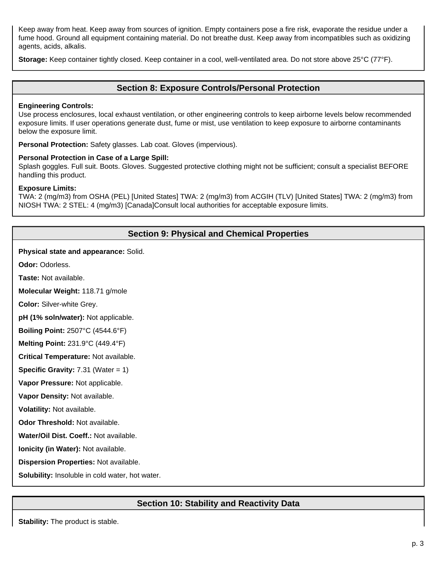Keep away from heat. Keep away from sources of ignition. Empty containers pose a fire risk, evaporate the residue under a fume hood. Ground all equipment containing material. Do not breathe dust. Keep away from incompatibles such as oxidizing agents, acids, alkalis.

**Storage:** Keep container tightly closed. Keep container in a cool, well-ventilated area. Do not store above 25°C (77°F).

### **Section 8: Exposure Controls/Personal Protection**

#### **Engineering Controls:**

Use process enclosures, local exhaust ventilation, or other engineering controls to keep airborne levels below recommended exposure limits. If user operations generate dust, fume or mist, use ventilation to keep exposure to airborne contaminants below the exposure limit.

**Personal Protection:** Safety glasses. Lab coat. Gloves (impervious).

#### **Personal Protection in Case of a Large Spill:**

Splash goggles. Full suit. Boots. Gloves. Suggested protective clothing might not be sufficient; consult a specialist BEFORE handling this product.

#### **Exposure Limits:**

TWA: 2 (mg/m3) from OSHA (PEL) [United States] TWA: 2 (mg/m3) from ACGIH (TLV) [United States] TWA: 2 (mg/m3) from NIOSH TWA: 2 STEL: 4 (mg/m3) [Canada]Consult local authorities for acceptable exposure limits.

### **Section 9: Physical and Chemical Properties**

**Physical state and appearance:** Solid.

**Odor:** Odorless.

**Taste:** Not available.

**Molecular Weight:** 118.71 g/mole

**Color:** Silver-white Grey.

**pH (1% soln/water):** Not applicable.

**Boiling Point:** 2507°C (4544.6°F)

**Melting Point:** 231.9°C (449.4°F)

**Critical Temperature:** Not available.

**Specific Gravity:** 7.31 (Water = 1)

**Vapor Pressure:** Not applicable.

**Vapor Density:** Not available.

**Volatility:** Not available.

**Odor Threshold:** Not available.

**Water/Oil Dist. Coeff.:** Not available.

**Ionicity (in Water):** Not available.

**Dispersion Properties:** Not available.

**Solubility:** Insoluble in cold water, hot water.

# **Section 10: Stability and Reactivity Data**

**Stability:** The product is stable.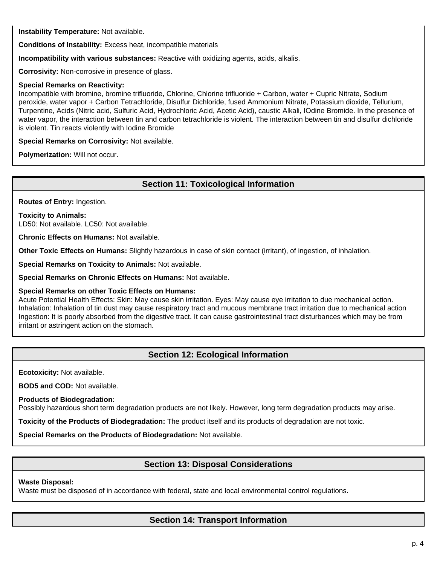**Instability Temperature:** Not available.

**Conditions of Instability:** Excess heat, incompatible materials

**Incompatibility with various substances:** Reactive with oxidizing agents, acids, alkalis.

**Corrosivity:** Non-corrosive in presence of glass.

#### **Special Remarks on Reactivity:**

Incompatible with bromine, bromine trifluoride, Chlorine, Chlorine trifluoride + Carbon, water + Cupric Nitrate, Sodium peroxide, water vapor + Carbon Tetrachloride, Disulfur Dichloride, fused Ammonium Nitrate, Potassium dioxide, Tellurium, Turpentine, Acids (Nitric acid, Sulfuric Acid, Hydrochloric Acid, Acetic Acid), caustic Alkali, IOdine Bromide. In the presence of water vapor, the interaction between tin and carbon tetrachloride is violent. The interaction between tin and disulfur dichloride is violent. Tin reacts violently with Iodine Bromide

**Special Remarks on Corrosivity:** Not available.

**Polymerization:** Will not occur.

# **Section 11: Toxicological Information**

**Routes of Entry:** Ingestion.

#### **Toxicity to Animals:**

LD50: Not available. LC50: Not available.

**Chronic Effects on Humans:** Not available.

**Other Toxic Effects on Humans:** Slightly hazardous in case of skin contact (irritant), of ingestion, of inhalation.

**Special Remarks on Toxicity to Animals:** Not available.

**Special Remarks on Chronic Effects on Humans:** Not available.

### **Special Remarks on other Toxic Effects on Humans:**

Acute Potential Health Effects: Skin: May cause skin irritation. Eyes: May cause eye irritation to due mechanical action. Inhalation: Inhalation of tin dust may cause respiratory tract and mucous membrane tract irritation due to mechanical action Ingestion: It is poorly absorbed from the digestive tract. It can cause gastrointestinal tract disturbances which may be from irritant or astringent action on the stomach.

# **Section 12: Ecological Information**

**Ecotoxicity:** Not available.

**BOD5 and COD:** Not available.

**Products of Biodegradation:**

Possibly hazardous short term degradation products are not likely. However, long term degradation products may arise.

**Toxicity of the Products of Biodegradation:** The product itself and its products of degradation are not toxic.

**Special Remarks on the Products of Biodegradation:** Not available.

# **Section 13: Disposal Considerations**

### **Waste Disposal:**

Waste must be disposed of in accordance with federal, state and local environmental control regulations.

# **Section 14: Transport Information**